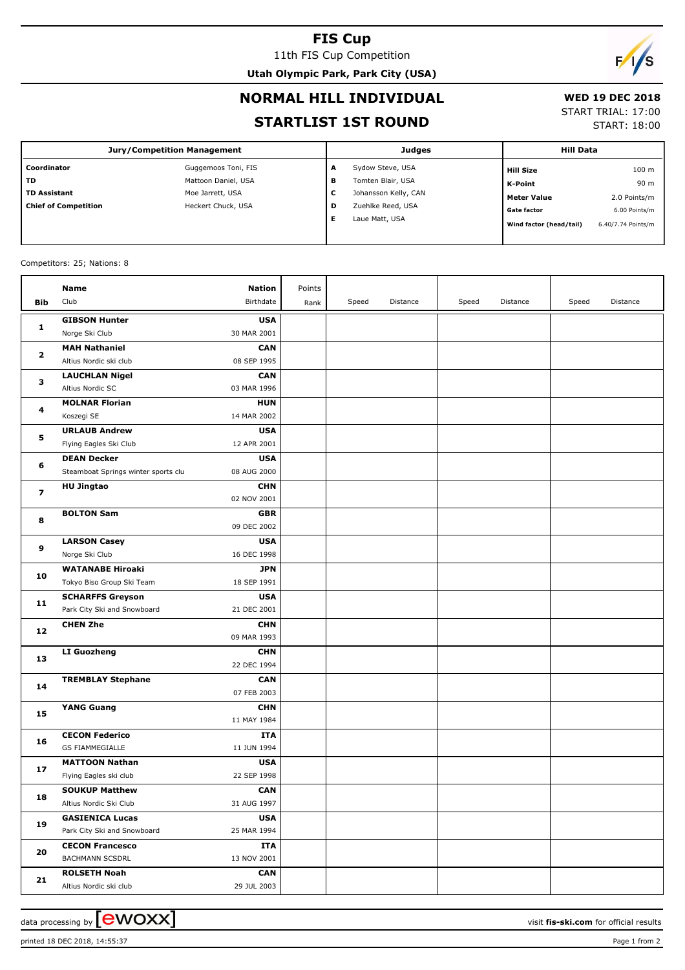## **FIS Cup**

11th FIS Cup Competition **Utah Olympic Park, Park City (USA)**



### **NORMAL HILL INDIVIDUAL**

## **WED 19 DEC 2018**

### **STARTLIST 1ST ROUND**

START TRIAL: 17:00

START: 18:00

| <b>Jury/Competition Management</b> |                     |        | <b>Judges</b>        | <b>Hill Data</b>        |                    |
|------------------------------------|---------------------|--------|----------------------|-------------------------|--------------------|
| Coordinator                        | Guggemoos Toni, FIS | A      | Sydow Steve, USA     | <b>Hill Size</b>        | 100 <sub>m</sub>   |
| TD                                 | Mattoon Daniel, USA | в      | Tomten Blair, USA    | K-Point                 | 90 m               |
| <b>TD Assistant</b>                | Moe Jarrett, USA    | ┍<br>J | Johansson Kelly, CAN | <b>Meter Value</b>      | 2.0 Points/m       |
| <b>Chief of Competition</b>        | Heckert Chuck, USA  | D      | Zuehlke Reed, USA    | <b>Gate factor</b>      | 6.00 Points/m      |
|                                    |                     | Е      | Laue Matt, USA       | Wind factor (head/tail) | 6.40/7.74 Points/m |

#### Competitors: 25; Nations: 8

|                         | <b>Name</b>                         | <b>Nation</b>             | Points |       |          |       |          |       |          |
|-------------------------|-------------------------------------|---------------------------|--------|-------|----------|-------|----------|-------|----------|
| Bib                     | Club                                | Birthdate                 | Rank   | Speed | Distance | Speed | Distance | Speed | Distance |
| $\mathbf{1}$            | <b>GIBSON Hunter</b>                | <b>USA</b>                |        |       |          |       |          |       |          |
|                         | Norge Ski Club                      | 30 MAR 2001               |        |       |          |       |          |       |          |
| $\mathbf{2}$            | <b>MAH Nathaniel</b>                | <b>CAN</b>                |        |       |          |       |          |       |          |
|                         | Altius Nordic ski club              | 08 SEP 1995               |        |       |          |       |          |       |          |
| 3                       | <b>LAUCHLAN Nigel</b>               | <b>CAN</b>                |        |       |          |       |          |       |          |
|                         | Altius Nordic SC                    | 03 MAR 1996               |        |       |          |       |          |       |          |
| 4                       | <b>MOLNAR Florian</b>               | <b>HUN</b>                |        |       |          |       |          |       |          |
|                         | Koszegi SE                          | 14 MAR 2002               |        |       |          |       |          |       |          |
| 5                       | <b>URLAUB Andrew</b>                | <b>USA</b>                |        |       |          |       |          |       |          |
|                         | Flying Eagles Ski Club              | 12 APR 2001               |        |       |          |       |          |       |          |
| 6                       | <b>DEAN Decker</b>                  | <b>USA</b>                |        |       |          |       |          |       |          |
|                         | Steamboat Springs winter sports clu | 08 AUG 2000               |        |       |          |       |          |       |          |
| $\overline{\mathbf{z}}$ | <b>HU Jingtao</b>                   | <b>CHN</b>                |        |       |          |       |          |       |          |
|                         |                                     | 02 NOV 2001               |        |       |          |       |          |       |          |
| 8                       | <b>BOLTON Sam</b>                   | <b>GBR</b>                |        |       |          |       |          |       |          |
|                         |                                     | 09 DEC 2002               |        |       |          |       |          |       |          |
| 9                       | <b>LARSON Casey</b>                 | <b>USA</b>                |        |       |          |       |          |       |          |
|                         | Norge Ski Club                      | 16 DEC 1998               |        |       |          |       |          |       |          |
| 10                      | <b>WATANABE Hiroaki</b>             | <b>JPN</b>                |        |       |          |       |          |       |          |
|                         | Tokyo Biso Group Ski Team           | 18 SEP 1991               |        |       |          |       |          |       |          |
| 11                      | <b>SCHARFFS Greyson</b>             | <b>USA</b>                |        |       |          |       |          |       |          |
|                         | Park City Ski and Snowboard         | 21 DEC 2001               |        |       |          |       |          |       |          |
| 12                      | <b>CHEN Zhe</b>                     | <b>CHN</b><br>09 MAR 1993 |        |       |          |       |          |       |          |
|                         | <b>LI Guozheng</b>                  | <b>CHN</b>                |        |       |          |       |          |       |          |
| 13                      |                                     | 22 DEC 1994               |        |       |          |       |          |       |          |
|                         | <b>TREMBLAY Stephane</b>            | <b>CAN</b>                |        |       |          |       |          |       |          |
| 14                      |                                     | 07 FEB 2003               |        |       |          |       |          |       |          |
|                         | <b>YANG Guang</b>                   | <b>CHN</b>                |        |       |          |       |          |       |          |
| 15                      |                                     | 11 MAY 1984               |        |       |          |       |          |       |          |
|                         | <b>CECON Federico</b>               | ITA                       |        |       |          |       |          |       |          |
| 16                      | <b>GS FIAMMEGIALLE</b>              | 11 JUN 1994               |        |       |          |       |          |       |          |
| 17                      | <b>MATTOON Nathan</b>               | <b>USA</b>                |        |       |          |       |          |       |          |
|                         | Flying Eagles ski club              | 22 SEP 1998               |        |       |          |       |          |       |          |
|                         | <b>SOUKUP Matthew</b>               | <b>CAN</b>                |        |       |          |       |          |       |          |
| 18                      | Altius Nordic Ski Club              | 31 AUG 1997               |        |       |          |       |          |       |          |
| 19                      | <b>GASIENICA Lucas</b>              | <b>USA</b>                |        |       |          |       |          |       |          |
|                         | Park City Ski and Snowboard         | 25 MAR 1994               |        |       |          |       |          |       |          |
| 20                      | <b>CECON Francesco</b>              | ITA                       |        |       |          |       |          |       |          |
|                         | <b>BACHMANN SCSDRL</b>              | 13 NOV 2001               |        |       |          |       |          |       |          |
|                         | <b>ROLSETH Noah</b>                 | <b>CAN</b>                |        |       |          |       |          |       |          |
| 21                      | Altius Nordic ski club              | 29 JUL 2003               |        |       |          |       |          |       |          |

printed 18 DEC 2018, 14:55:37 Page 1 from 2

data processing by **CWOXX**  $\blacksquare$